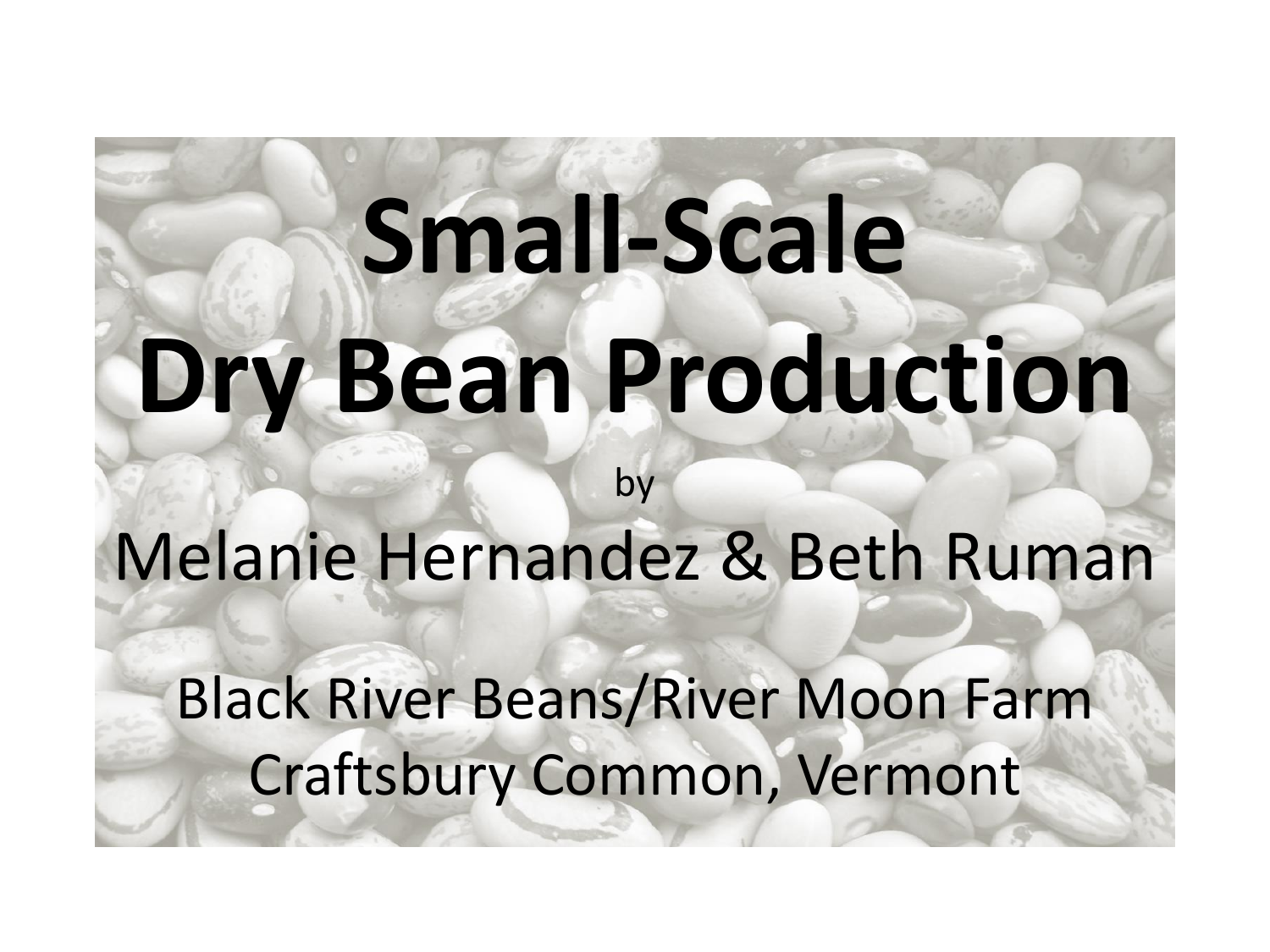# **Small-Scale Dry Bean Production**

Melanie Hernandez & Beth Ruman

by

Black River Beans/River Moon Farm Craftsbury Common, Vermont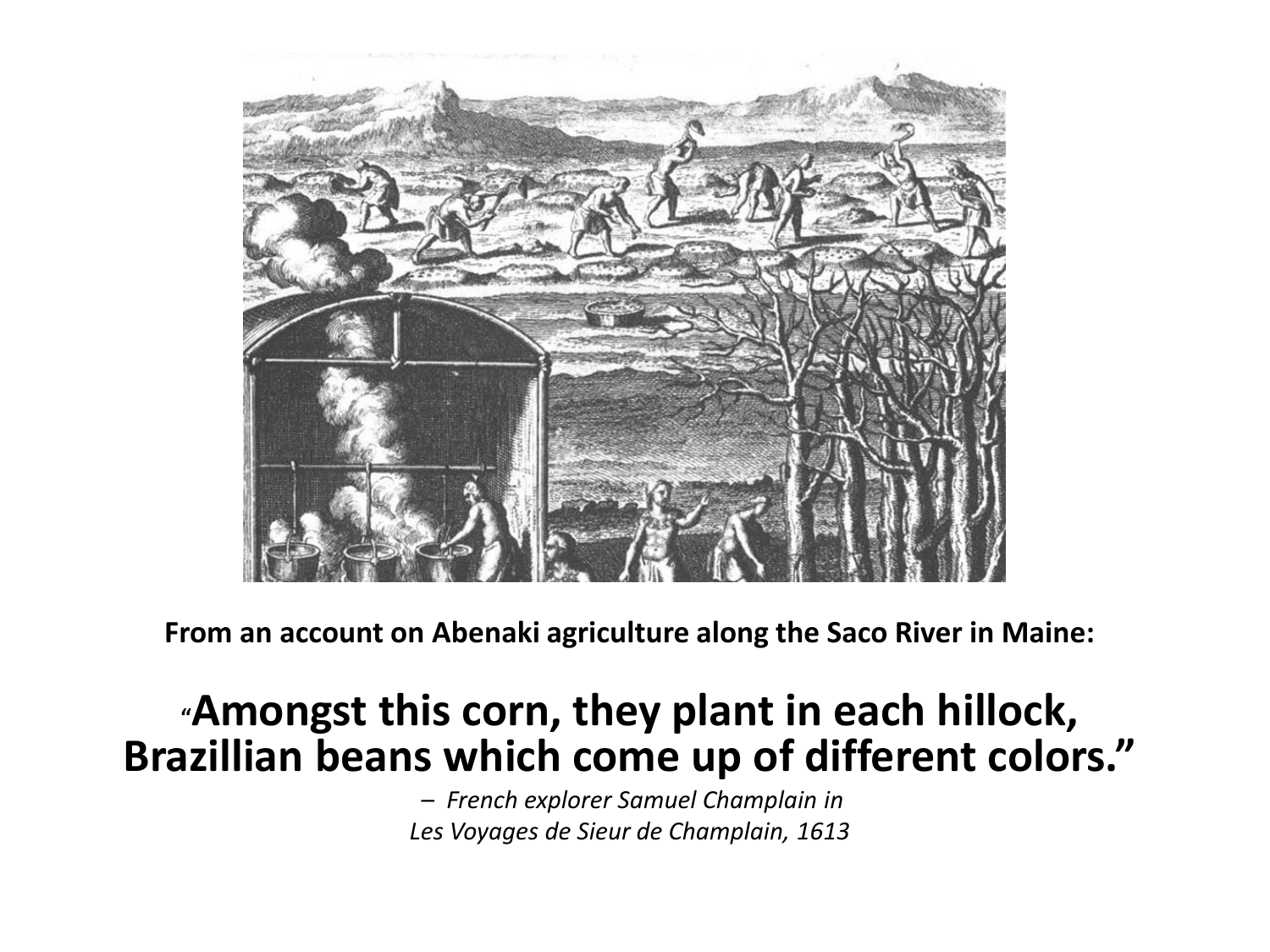

**From an account on Abenaki agriculture along the Saco River in Maine:**

### **"Amongst this corn, they plant in each hillock, Brazillian beans which come up of different colors."**

– *French explorer Samuel Champlain in Les Voyages de Sieur de Champlain, 1613*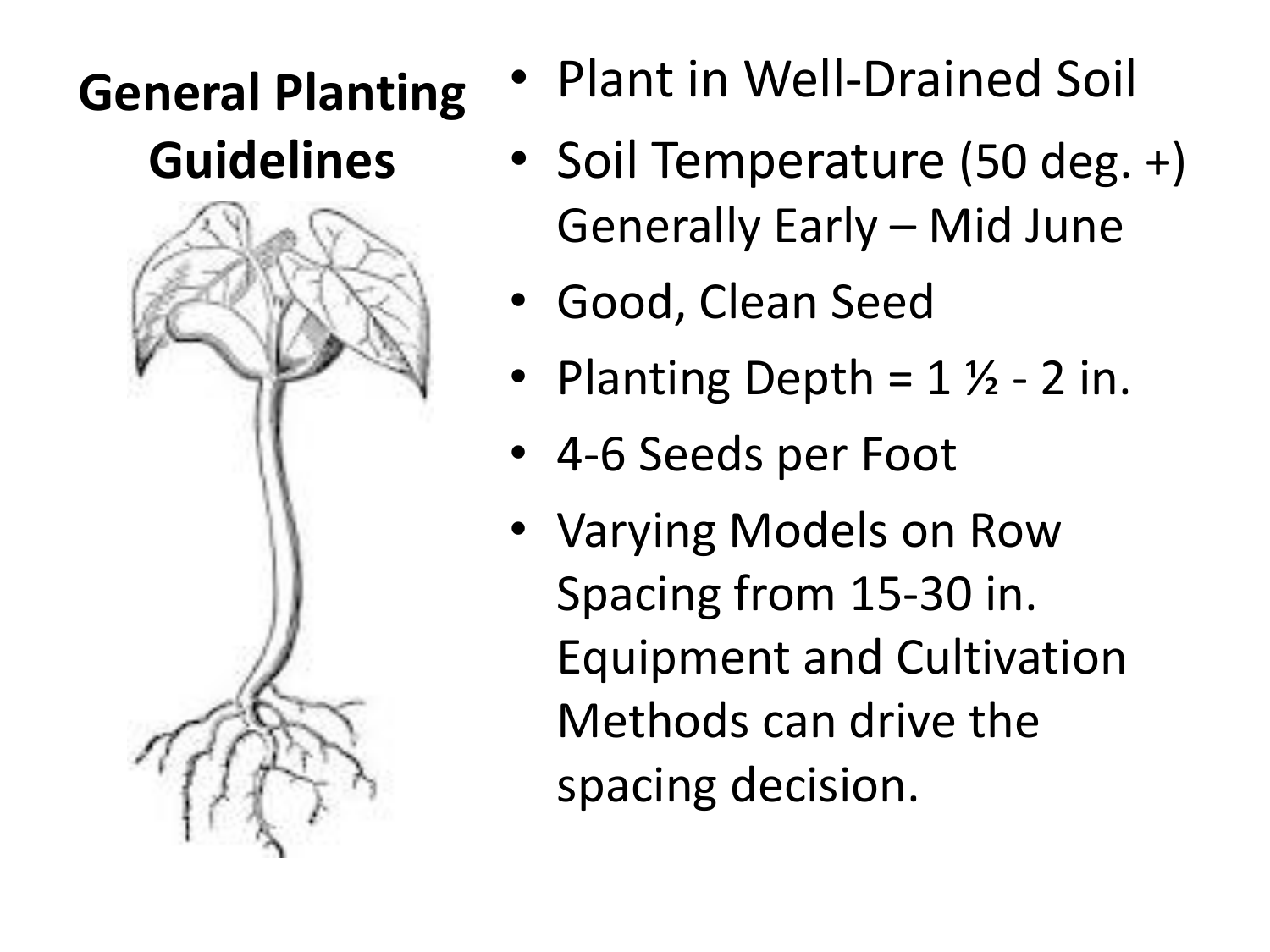### **General Planting Guidelines**



- Plant in Well-Drained Soil
- Soil Temperature (50 deg. +) Generally Early – Mid June
- Good, Clean Seed
- Planting Depth =  $1\frac{1}{2}$  2 in.
- 4-6 Seeds per Foot
- Varying Models on Row Spacing from 15-30 in. Equipment and Cultivation Methods can drive the spacing decision.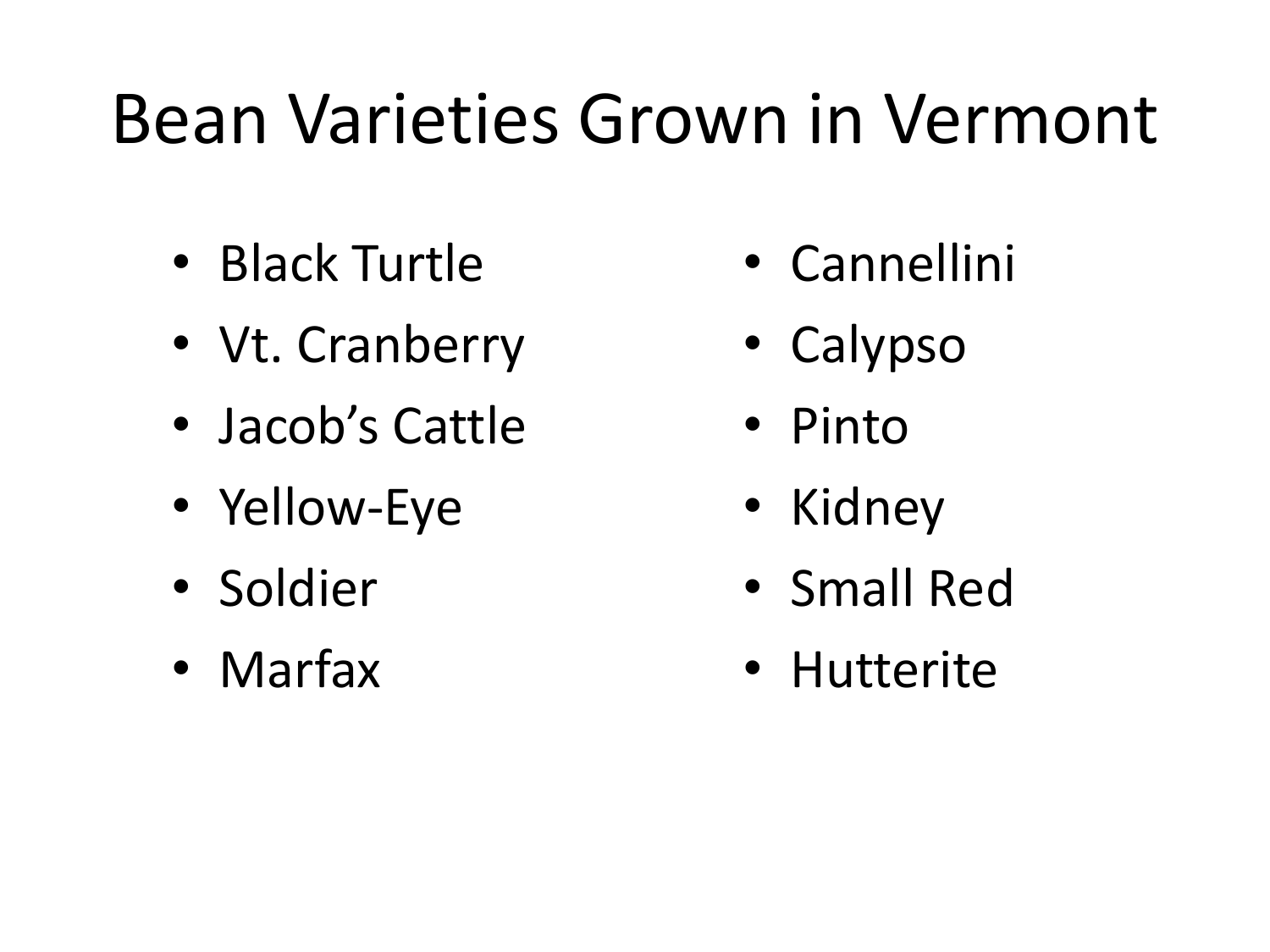## Bean Varieties Grown in Vermont

- Black Turtle
- Vt. Cranberry
- Jacob's Cattle
- Yellow-Eye
- Soldier
- Marfax
- Cannellini
- Calypso
- Pinto
- Kidney
- Small Red
- Hutterite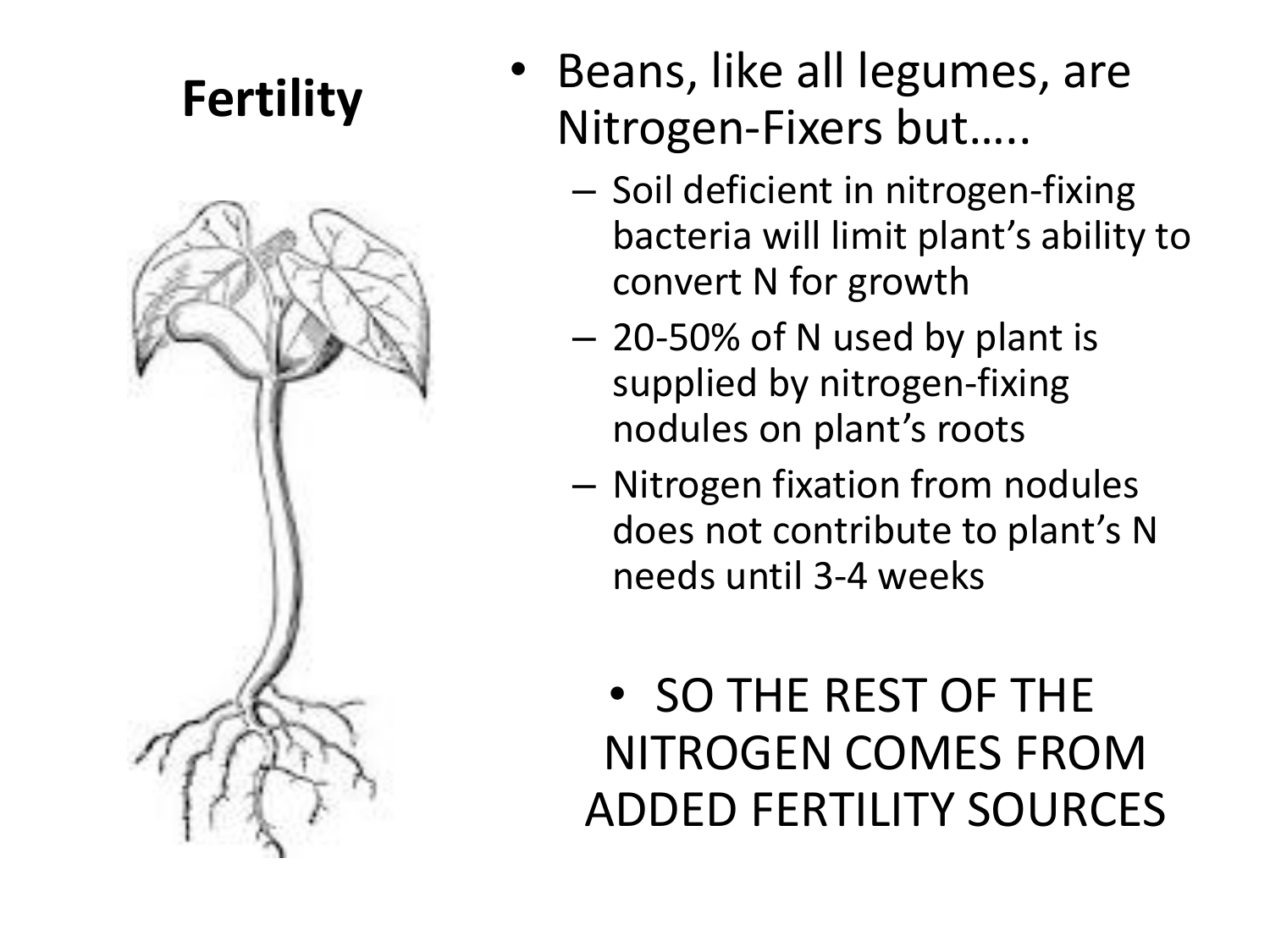### **Fertility**



- Beans, like all legumes, are Nitrogen-Fixers but…..
	- Soil deficient in nitrogen-fixing bacteria will limit plant's ability to convert N for growth
	- 20-50% of N used by plant is supplied by nitrogen-fixing nodules on plant's roots
	- Nitrogen fixation from nodules does not contribute to plant's N needs until 3-4 weeks

### • SO THE REST OF THE NITROGEN COMES FROM ADDED FERTILITY SOURCES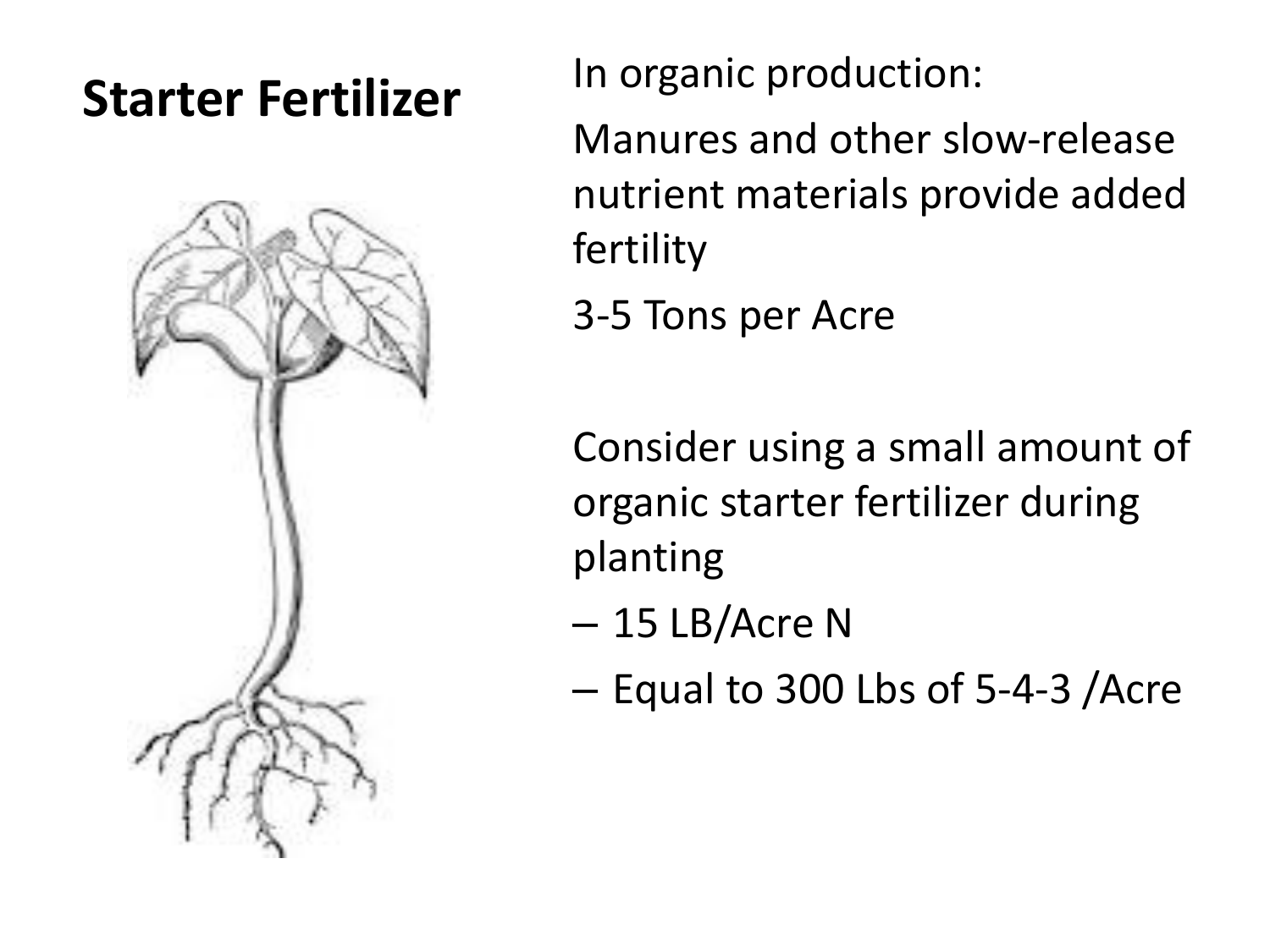

**Starter Fertilizer** In organic production:

Manures and other slow-release nutrient materials provide added fertility

3-5 Tons per Acre

Consider using a small amount of organic starter fertilizer during planting

- 15 LB/Acre N
- Equal to 300 Lbs of 5-4-3 /Acre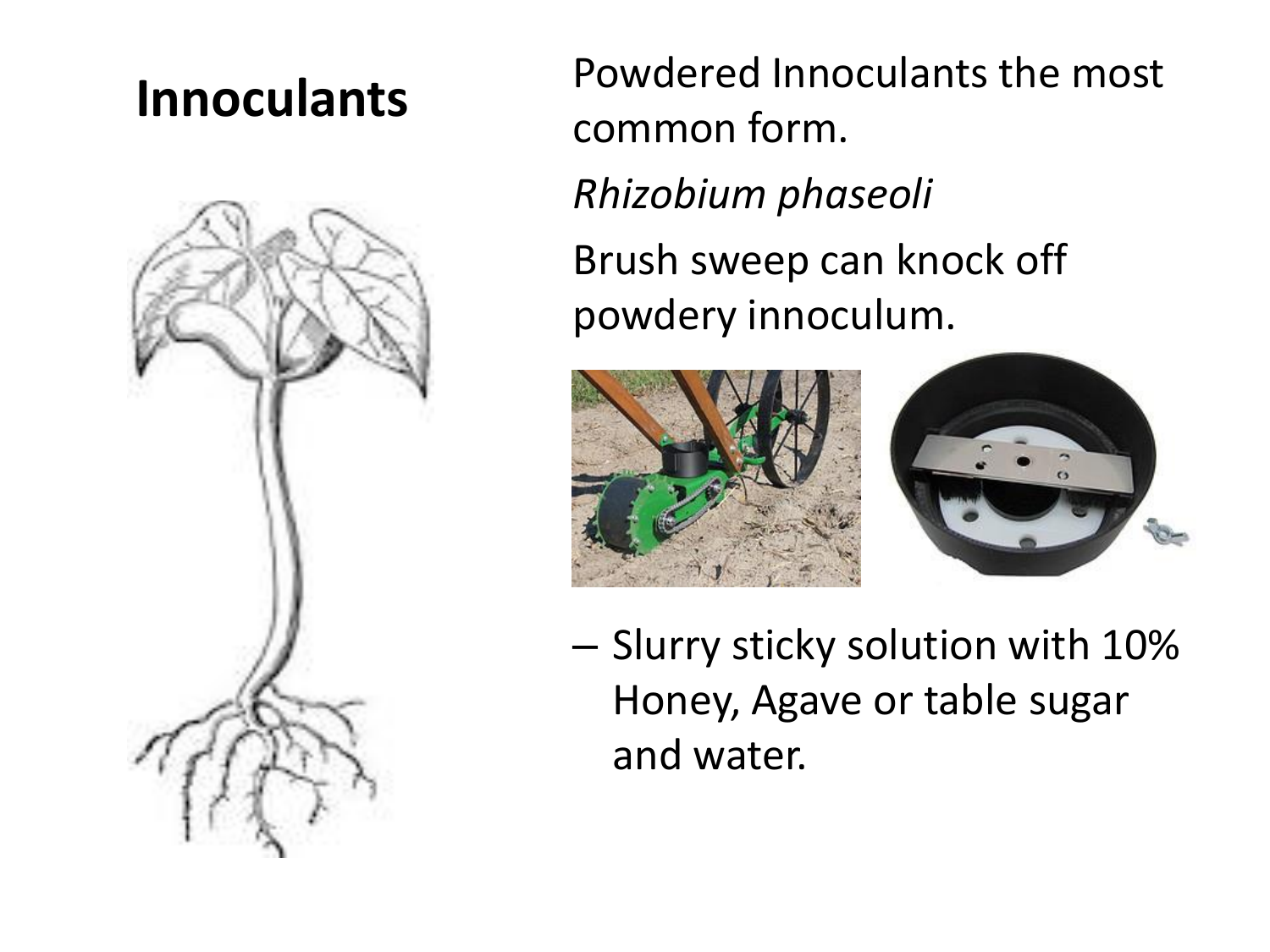

**Innoculants** Powdered Innoculants the most common form. *Rhizobium phaseoli* Brush sweep can knock off powdery innoculum.



– Slurry sticky solution with 10% Honey, Agave or table sugar and water.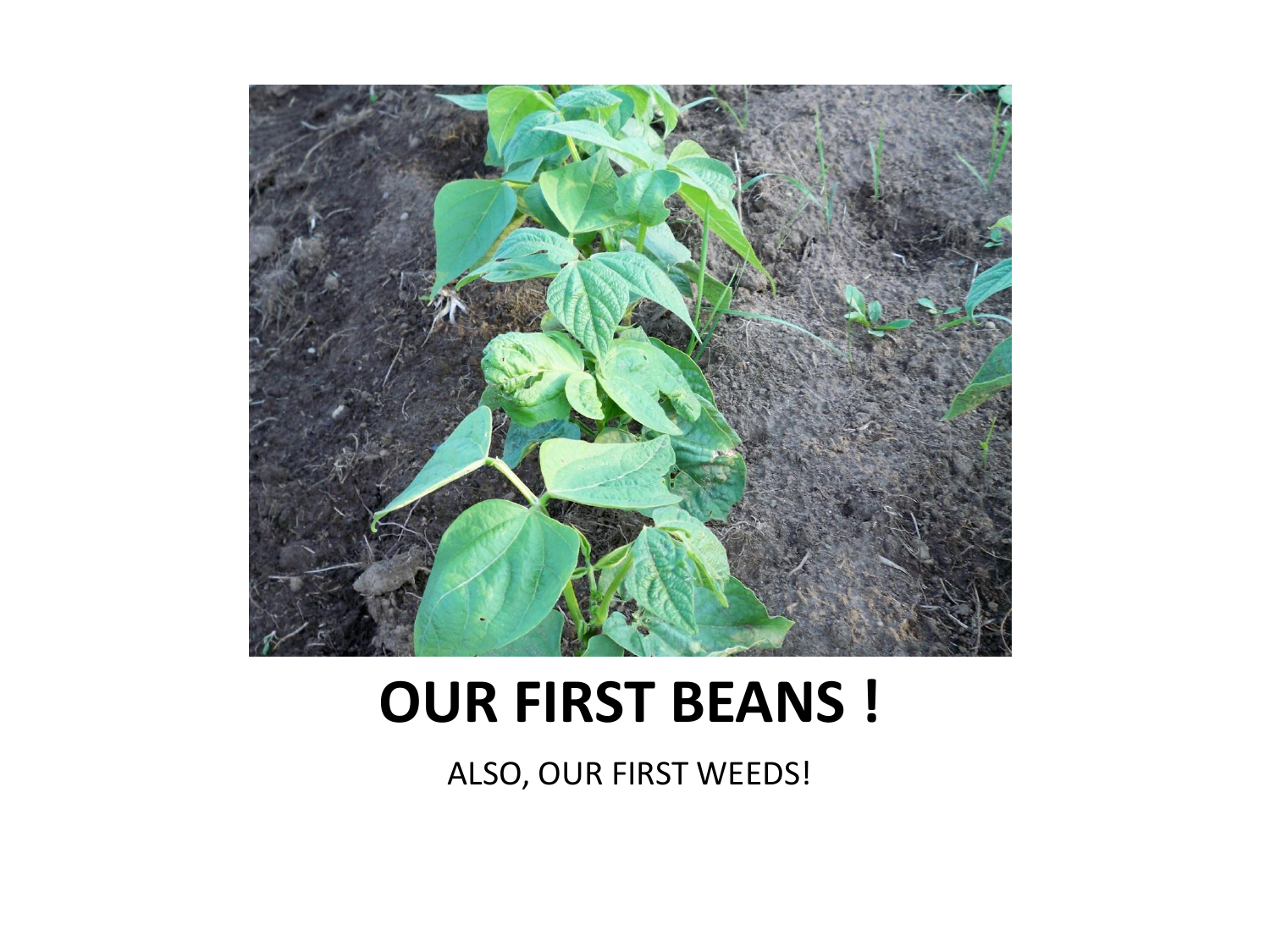

### **OUR FIRST BEANS !**

ALSO, OUR FIRST WEEDS!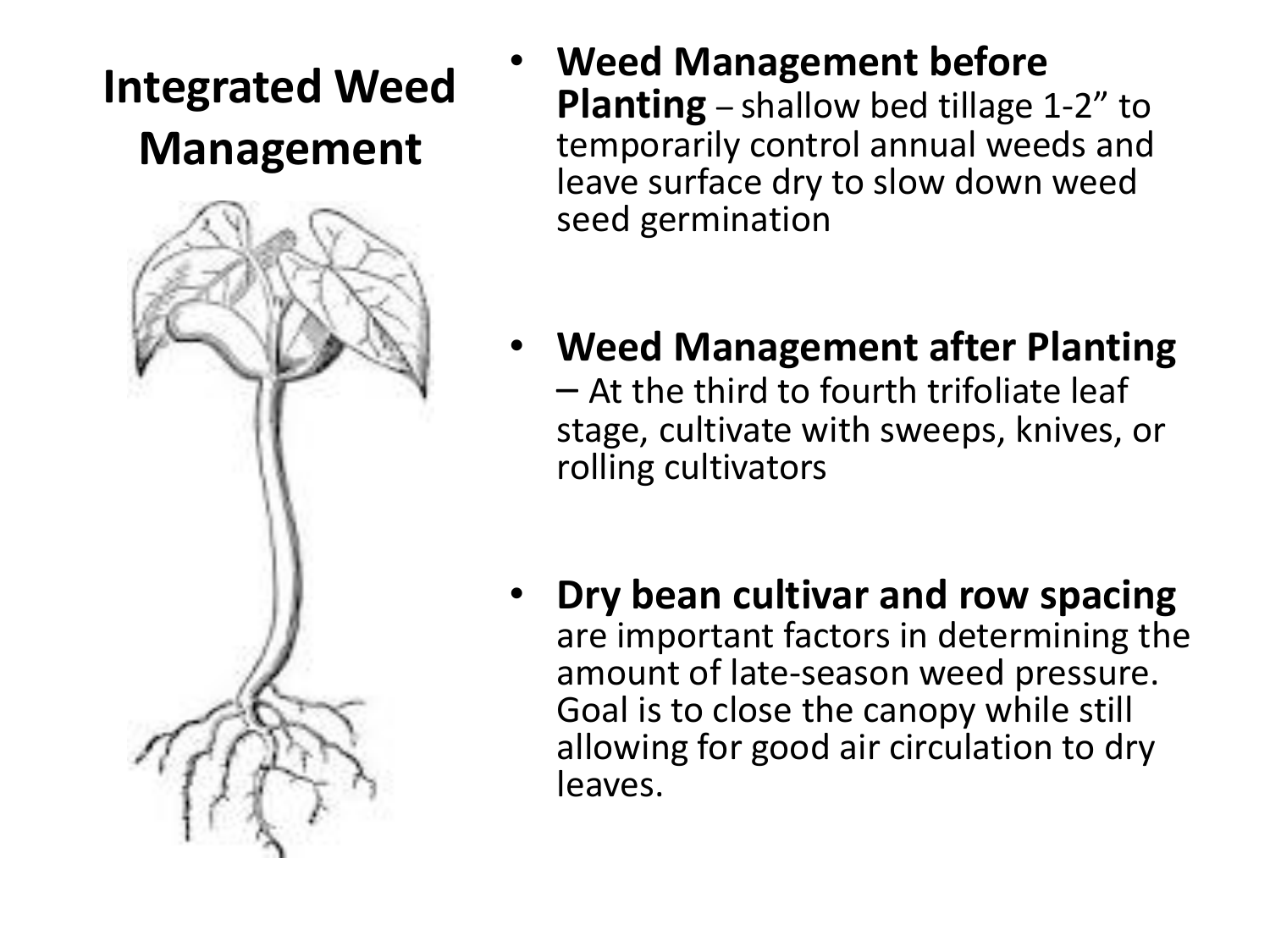### **Integrated Weed Management**



- **Weed Management before Planting** – shallow bed tillage 1-2" to temporarily control annual weeds and leave surface dry to slow down weed seed germination
- **Weed Management after Planting**  – At the third to fourth trifoliate leaf stage, cultivate with sweeps, knives, or rolling cultivators
- **Dry bean cultivar and row spacing** are important factors in determining the amount of late-season weed pressure. Goal is to close the canopy while still allowing for good air circulation to dry leaves.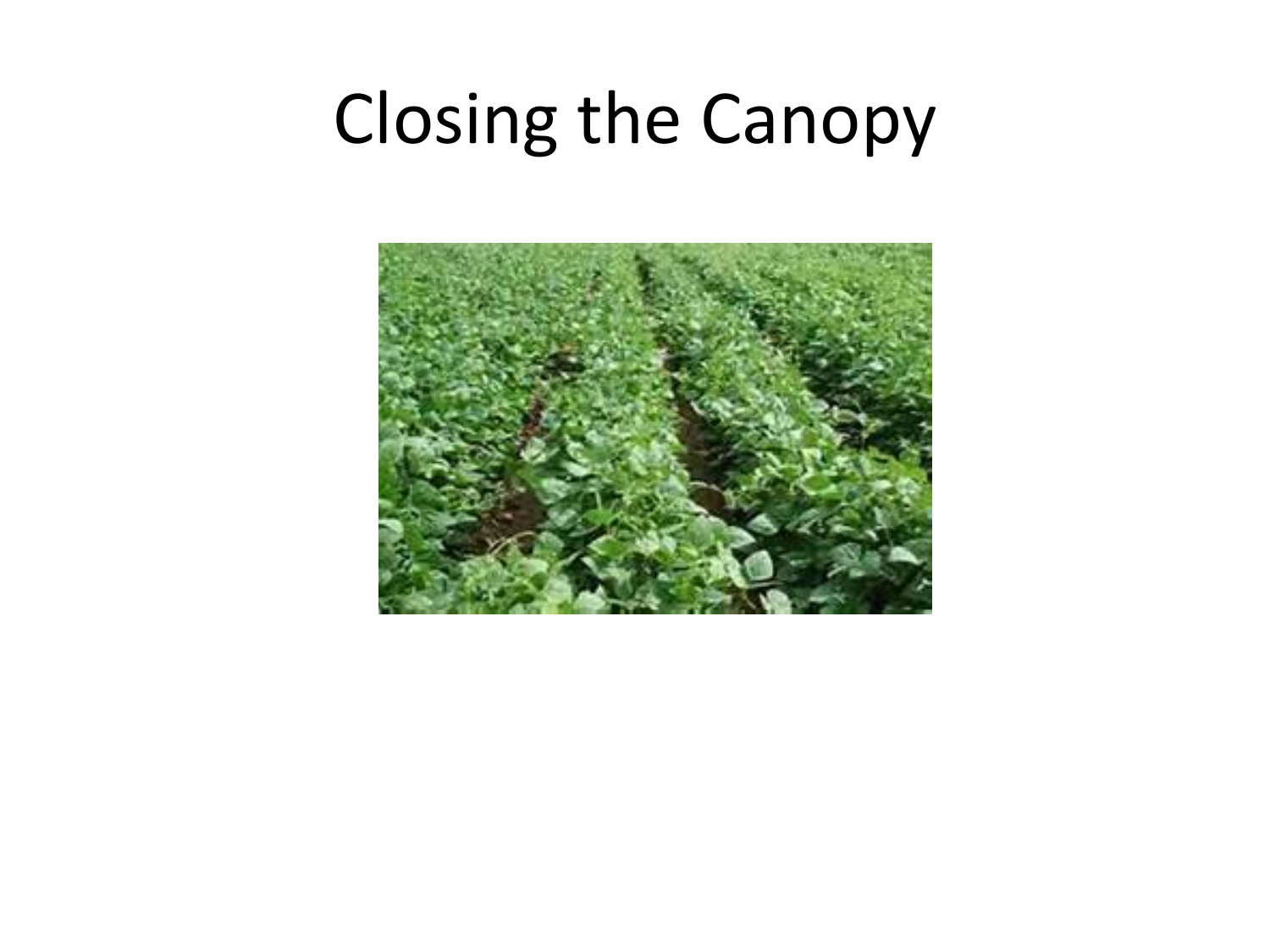## Closing the Canopy

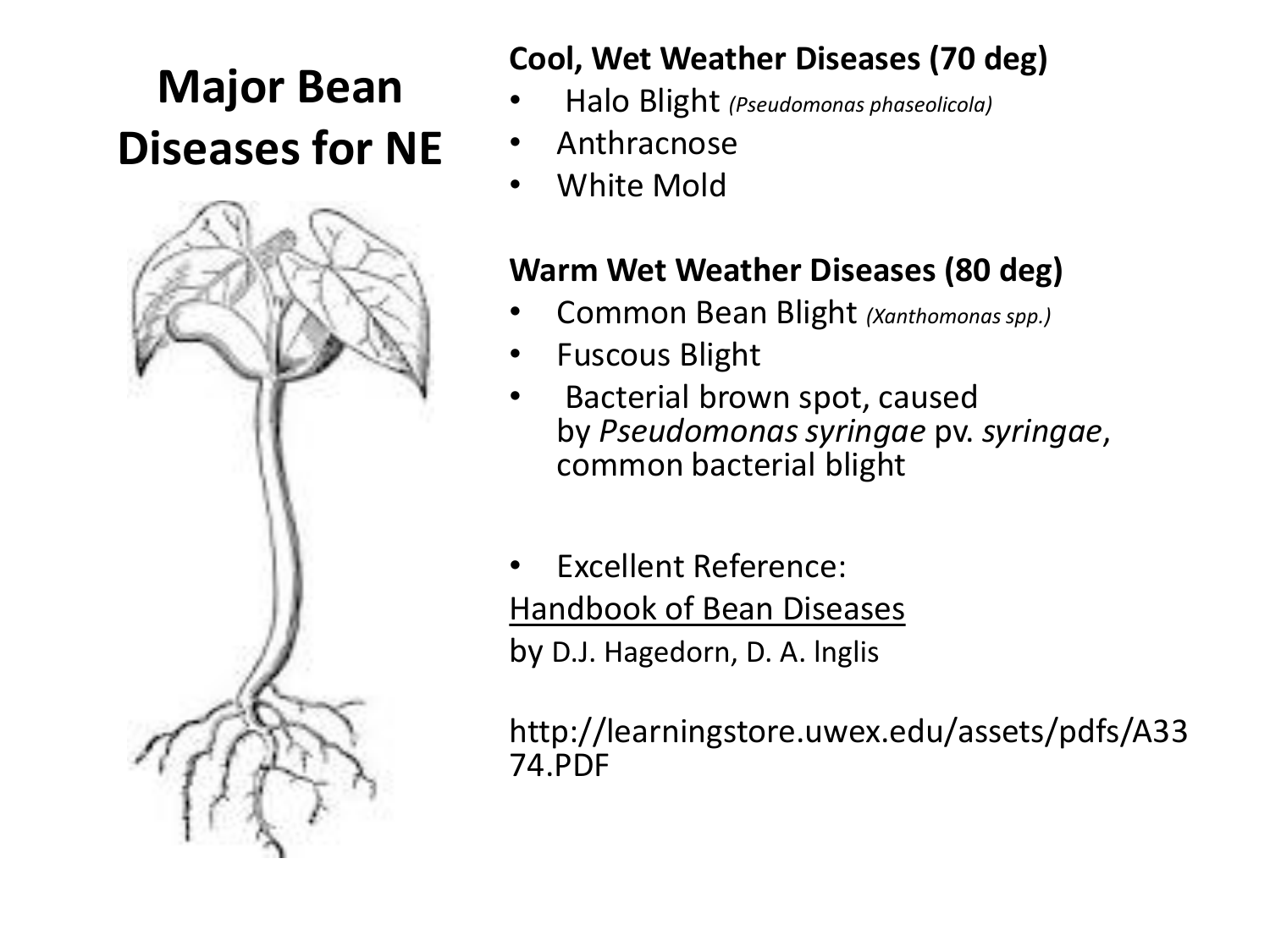### **Major Bean Diseases for NE**



#### **Cool, Wet Weather Diseases (70 deg)**

- Halo Blight *(Pseudomonas phaseolicola)*
- Anthracnose
- White Mold

#### **Warm Wet Weather Diseases (80 deg)**

- Common Bean Blight *(Xanthomonas spp.)*
- Fuscous Blight
- Bacterial brown spot, caused by *Pseudomonas syringae* pv. *syringae*, common bacterial blight
- Excellent Reference: Handbook of Bean Diseases by D.J. Hagedorn, D. A. lnglis

http://learningstore.uwex.edu/assets/pdfs/A33 74.PDF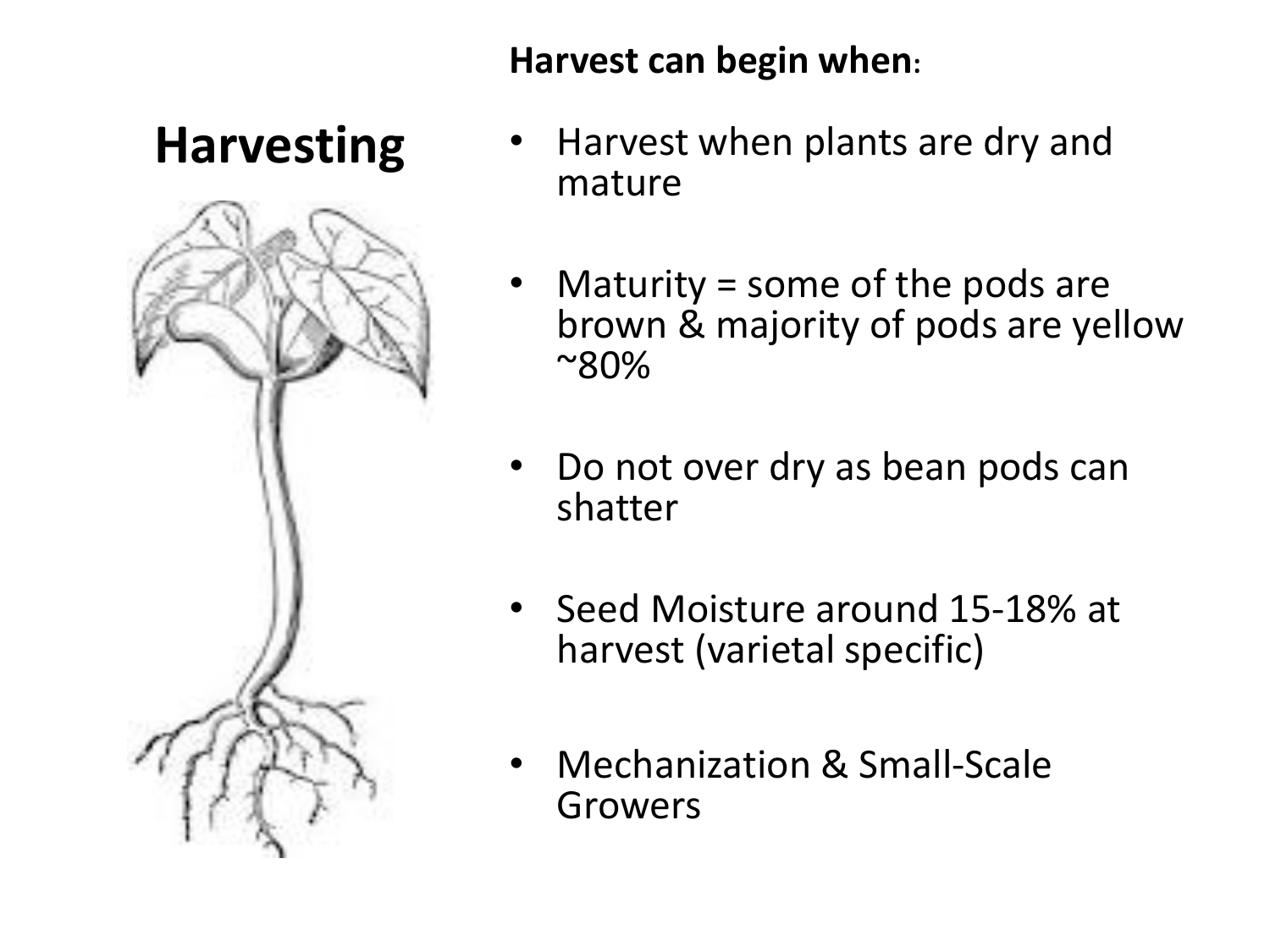#### **Harvest can begin when:**

### **Harvesting**



- Harvest when plants are dry and mature
- Maturity = some of the pods are brown & majority of pods are yellow ~80%
- Do not over dry as bean pods can shatter
- Seed Moisture around 15-18% at harvest (varietal specific)
- Mechanization & Small-Scale Growers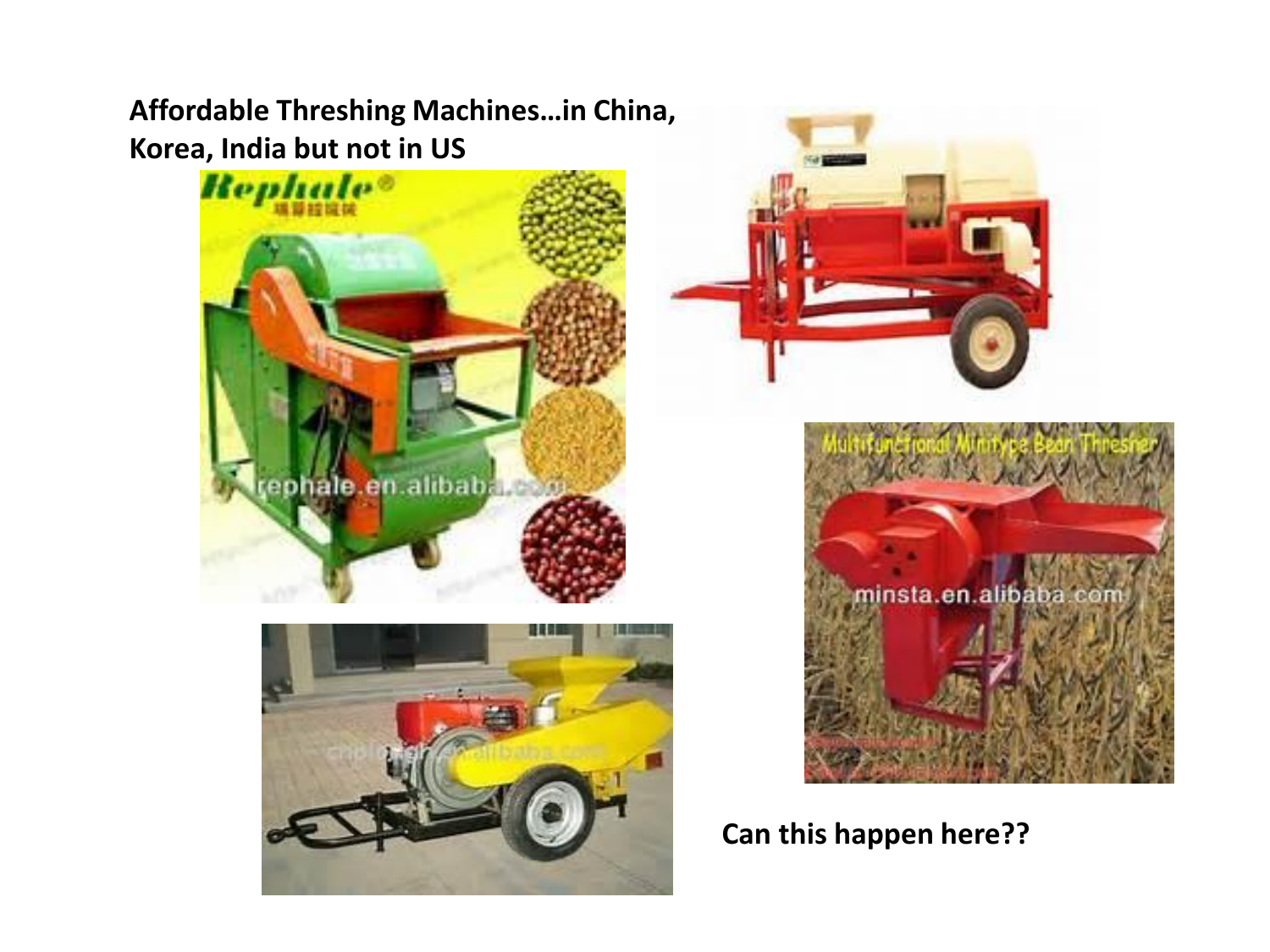**Affordable Threshing Machines…in China, Korea, India but not in US**









**Can this happen here??**